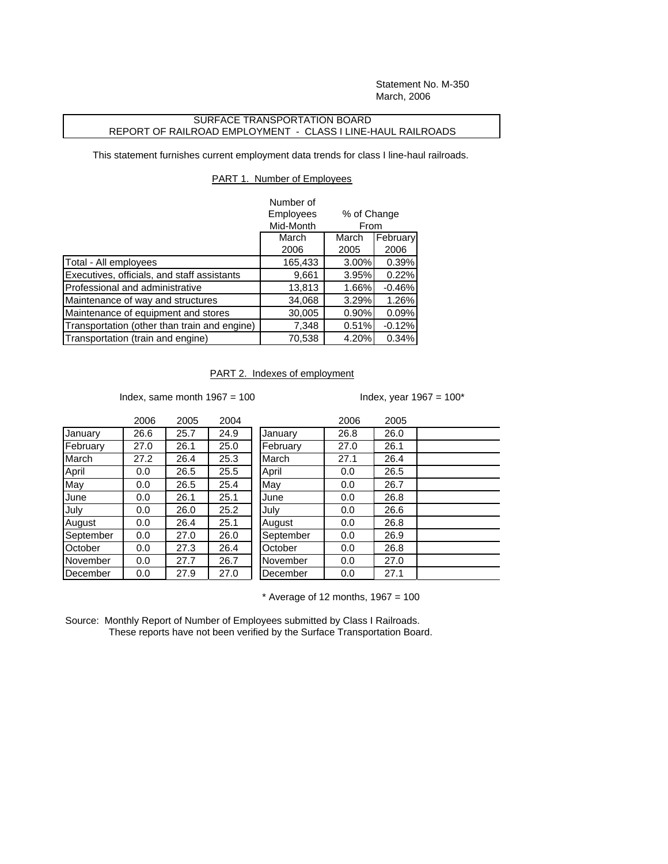Statement No. M-350 March, 2006

## SURFACE TRANSPORTATION BOARD REPORT OF RAILROAD EMPLOYMENT - CLASS I LINE-HAUL RAILROADS

This statement furnishes current employment data trends for class I line-haul railroads.

## PART 1. Number of Employees

|                                              | Number of      |             |          |
|----------------------------------------------|----------------|-------------|----------|
|                                              | Employees      | % of Change |          |
|                                              | Mid-Month      | From        |          |
|                                              | March<br>March |             | February |
|                                              | 2006           | 2005        | 2006     |
| Total - All employees                        | 165,433        | 3.00%       | 0.39%    |
| Executives, officials, and staff assistants  | 9,661          | 3.95%       | 0.22%    |
| Professional and administrative              | 13,813         | 1.66%       | $-0.46%$ |
| Maintenance of way and structures            | 34,068         | 3.29%       | 1.26%    |
| Maintenance of equipment and stores          | 30,005         | 0.90%       | 0.09%    |
| Transportation (other than train and engine) | 7,348          | 0.51%       | $-0.12%$ |
| Transportation (train and engine)            | 70,538         | 4.20%       | 0.34%    |

## PART 2. Indexes of employment

Index, same month  $1967 = 100$  Index, year  $1967 = 100^*$ 

|           | 2006 | 2005 | 2004 |           | 2006 | 2005 |
|-----------|------|------|------|-----------|------|------|
| January   | 26.6 | 25.7 | 24.9 | January   | 26.8 | 26.0 |
| February  | 27.0 | 26.1 | 25.0 | February  | 27.0 | 26.1 |
| March     | 27.2 | 26.4 | 25.3 | March     | 27.1 | 26.4 |
| April     | 0.0  | 26.5 | 25.5 | April     | 0.0  | 26.5 |
| May       | 0.0  | 26.5 | 25.4 | May       | 0.0  | 26.7 |
| June      | 0.0  | 26.1 | 25.1 | June      | 0.0  | 26.8 |
| July      | 0.0  | 26.0 | 25.2 | July      | 0.0  | 26.6 |
| August    | 0.0  | 26.4 | 25.1 | August    | 0.0  | 26.8 |
| September | 0.0  | 27.0 | 26.0 | September | 0.0  | 26.9 |
| October   | 0.0  | 27.3 | 26.4 | October   | 0.0  | 26.8 |
| November  | 0.0  | 27.7 | 26.7 | November  | 0.0  | 27.0 |
| December  | 0.0  | 27.9 | 27.0 | December  | 0.0  | 27.1 |

| January   | 26.8 | 26.0 |  |
|-----------|------|------|--|
| February  | 27.0 | 26.1 |  |
| March     | 27.1 | 26.4 |  |
| April     | 0.0  | 26.5 |  |
| May       | 0.0  | 26.7 |  |
| June      | 0.0  | 26.8 |  |
| July      | 0.0  | 26.6 |  |
| August    | 0.0  | 26.8 |  |
| September | 0.0  | 26.9 |  |
| October   | 0.0  | 26.8 |  |
| November  | 0.0  | 27.0 |  |
| December  | 0.0  | 27.1 |  |
|           |      |      |  |

 $*$  Average of 12 months, 1967 = 100

Source: Monthly Report of Number of Employees submitted by Class I Railroads. These reports have not been verified by the Surface Transportation Board.